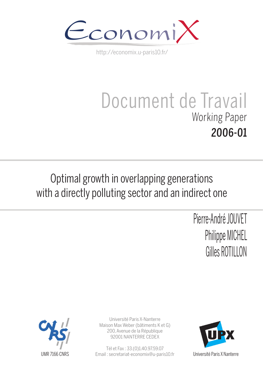

http://economix.u-paris10.fr/

# Document de Travail Working Paper 2006-01

## Optimal growth in overlapping generations with a directly polluting sector and an indirect one

Pierre-André JOUVET Philippe MICHEL Gilles ROTILLON



Université Paris X-Nanterre Maison Max Weber (bâtiments K et G) 200, Avenue de la République 92001 NANTERRE CEDEX

Tél et Fax : 33.(0)1.40.97.59.07 Email : secretariat-economix@u-paris10.fr



Université Paris X Nanterre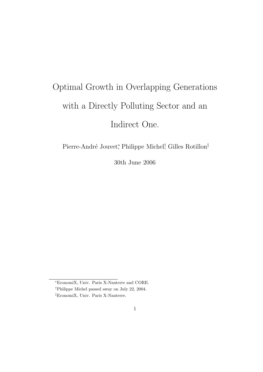## Optimal Growth in Overlapping Generations with a Directly Polluting Sector and an Indirect One.

Pierre-André Jouvet<sup>\*</sup>, Philippe Michel<sup>†</sup>, Gilles Rotillon<sup>‡</sup>

30th June 2006

<sup>∗</sup>EconomiX, Univ. Paris X-Nanterre and CORE.

<sup>†</sup>Philippe Michel passed away on July 22, 2004.

<sup>‡</sup>EconomiX, Univ. Paris X-Nanterre.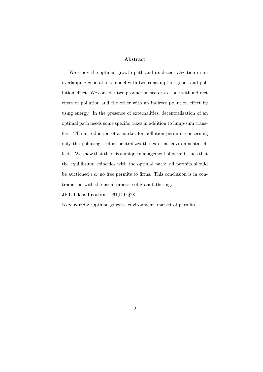#### Abstract

We study the optimal growth path and its decentralization in an overlapping generations model with two consumption goods and pollution effect. We consider two production sector i.e. one with a direct effect of pollution and the other with an indirect pollution effect by using energy. In the presence of externalities, decentralization of an optimal path needs some specific taxes in addition to lump-sum transfers. The introduction of a market for pollution permits, concerning only the polluting sector, neutralizes the external environmental effects. We show that there is a unique management of permits such that the equilibrium coincides with the optimal path: all permits should be auctioned *i.e.* no free permits to firms. This conclusion is in contradiction with the usual practice of grandfathering.

#### JEL Classification: D61,D9,Q28

Key words: Optimal growth, environment, market of permits.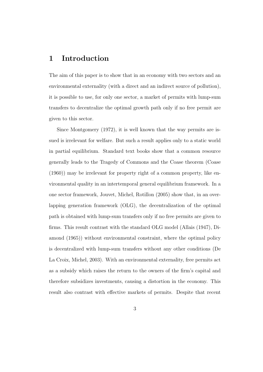## 1 Introduction

The aim of this paper is to show that in an economy with two sectors and an environmental externality (with a direct and an indirect source of pollution), it is possible to use, for only one sector, a market of permits with lump-sum transfers to decentralize the optimal growth path only if no free permit are given to this sector.

Since Montgomery (1972), it is well known that the way permits are issued is irrelevant for welfare. But such a result applies only to a static world in partial equilibrium. Standard text books show that a common resource generally leads to the Tragedy of Commons and the Coase theorem (Coase (1960)) may be irrelevant for property right of a common property, like environmental quality in an intertemporal general equilibrium framework. In a one sector framework, Jouvet, Michel, Rotillon (2005) show that, in an overlapping generation framework (OLG), the decentralization of the optimal path is obtained with lump-sum transfers only if no free permits are given to firms. This result contrast with the standard OLG model (Allais (1947), Diamond (1965)) without environmental constraint, where the optimal policy is decentralized with lump-sum transfers without any other conditions (De La Croix, Michel, 2003). With an environmental externality, free permits act as a subsidy which raises the return to the owners of the firm's capital and therefore subsidizes investments, causing a distortion in the economy. This result also contrast with effective markets of permits. Despite that recent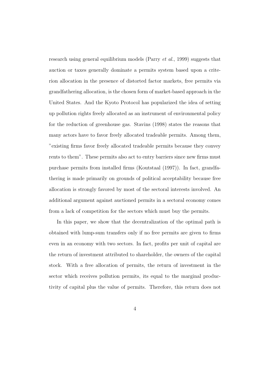research using general equilibrium models (Parry et al., 1999) suggests that auction or taxes generally dominate a permits system based upon a criterion allocation in the presence of distorted factor markets, free permits via grandfathering allocation, is the chosen form of market-based approach in the United States. And the Kyoto Protocol has popularized the idea of setting up pollution rights freely allocated as an instrument of environmental policy for the reduction of greenhouse gas. Stavins (1998) states the reasons that many actors have to favor freely allocated tradeable permits. Among them, "existing firms favor freely allocated tradeable permits because they convey rents to them". These permits also act to entry barriers since new firms must purchase permits from installed firms (Koutstaal (1997)). In fact, grandfathering is made primarily on grounds of political acceptability because free allocation is strongly favored by most of the sectoral interests involved. An additional argument against auctioned permits in a sectoral economy comes from a lack of competition for the sectors which must buy the permits.

In this paper, we show that the decentralization of the optimal path is obtained with lump-sum transfers only if no free permits are given to firms even in an economy with two sectors. In fact, profits per unit of capital are the return of investment attributed to shareholder, the owners of the capital stock. With a free allocation of permits, the return of investment in the sector which receives pollution permits, its equal to the marginal productivity of capital plus the value of permits. Therefore, this return does not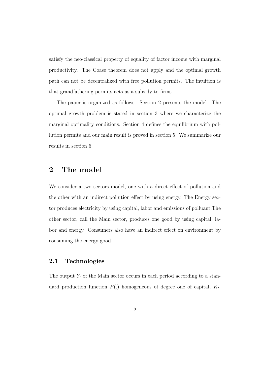satisfy the neo-classical property of equality of factor income with marginal productivity. The Coase theorem does not apply and the optimal growth path can not be decentralized with free pollution permits. The intuition is that grandfathering permits acts as a subsidy to firms.

The paper is organized as follows. Section 2 presents the model. The optimal growth problem is stated in section 3 where we characterize the marginal optimality conditions. Section 4 defines the equilibrium with pollution permits and our main result is proved in section 5. We summarize our results in section 6.

## 2 The model

We consider a two sectors model, one with a direct effect of pollution and the other with an indirect pollution effect by using energy. The Energy sector produces electricity by using capital, labor and emissions of polluant.The other sector, call the Main sector, produces one good by using capital, labor and energy. Consumers also have an indirect effect on environment by consuming the energy good.

#### 2.1 Technologies

The output  $Y_t$  of the Main sector occurs in each period according to a standard production function  $F(.)$  homogeneous of degree one of capital,  $K_t$ ,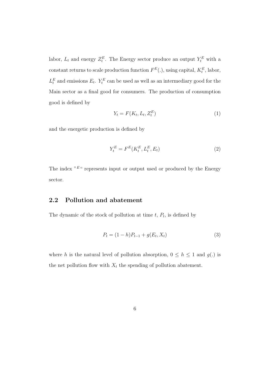labor,  $L_t$  and energy  $Z_t^E$ . The Energy sector produce an output  $Y_t^E$  with a constant returns to scale production function  $F^{E}(.)$ , using capital,  $K_t^{E}$ , labor,  $L_t^E$  and emissions  $E_t$ .  $Y_t^E$  can be used as well as an intermediary good for the Main sector as a final good for consumers. The production of consumption good is defined by

$$
Y_t = F(K_t, L_t, Z_t^E) \tag{1}
$$

and the energetic production is defined by

$$
Y_t^E = F^E(K_t^E, L_t^E, E_t)
$$
\n
$$
(2)
$$

The index  $E^{\mu}$ " represents input or output used or produced by the Energy sector.

## 2.2 Pollution and abatement

The dynamic of the stock of pollution at time  $t, P_t$ , is defined by

$$
P_t = (1 - h)P_{t-1} + g(E_t, X_t)
$$
\n(3)

where h is the natural level of pollution absorption,  $0 \le h \le 1$  and  $g(.)$  is the net pollution flow with  $X_t$  the spending of pollution abatement.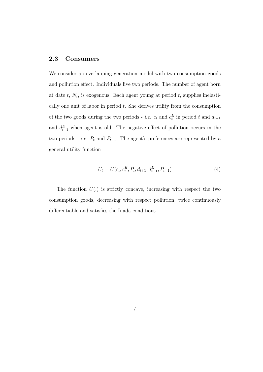## 2.3 Consumers

We consider an overlapping generation model with two consumption goods and pollution effect. Individuals live two periods. The number of agent born at date  $t, N_t$ , is exogenous. Each agent young at period  $t$ , supplies inelastically one unit of labor in period  $t$ . She derives utility from the consumption of the two goods during the two periods - *i.e.*  $c_t$  and  $c_t^E$  in period t and  $d_{t+1}$ and  $d_{t+1}^E$  when agent is old. The negative effect of pollution occurs in the two periods - *i.e.*  $P_t$  and  $P_{t+1}$ . The agent's preferences are represented by a general utility function

$$
U_t = U(c_t, c_t^E, P_t, d_{t+1}, d_{t+1}^E, P_{t+1})
$$
\n
$$
(4)
$$

The function  $U(.)$  is strictly concave, increasing with respect the two consumption goods, decreasing with respect pollution, twice continuously differentiable and satisfies the Inada conditions.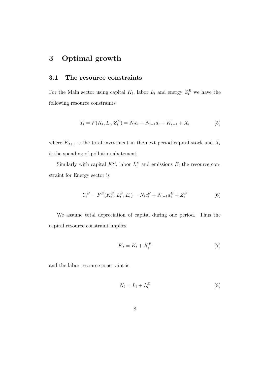## 3 Optimal growth

#### 3.1 The resource constraints

For the Main sector using capital  $K_t$ , labor  $L_t$  and energy  $Z_t^E$  we have the following resource constraints

$$
Y_t = F(K_t, L_t, Z_t^E) = N_t c_t + N_{t-1} d_t + \overline{K}_{t+1} + X_t
$$
\n(5)

where  $\overline{K}_{t+1}$  is the total investment in the next period capital stock and  $X_t$ is the spending of pollution abatement.

Similarly with capital  $K_t^E$ , labor  $L_t^E$  and emissions  $E_t$  the resource constraint for Energy sector is

$$
Y_t^E = F^E(K_t^E, L_t^E, E_t) = N_t c_t^E + N_{t-1} d_t^E + Z_t^E
$$
\n(6)

We assume total depreciation of capital during one period. Thus the capital resource constraint implies

$$
\overline{K}_t = K_t + K_t^E \tag{7}
$$

and the labor resource constraint is

$$
N_t = L_t + L_t^E \tag{8}
$$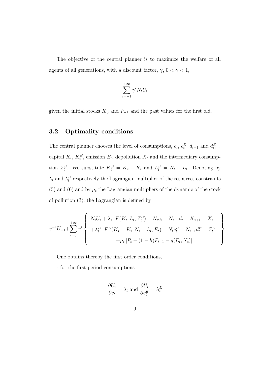The objective of the central planner is to maximize the welfare of all agents of all generations, with a discount factor,  $\gamma,\, 0<\gamma<1,$ 

$$
\sum_{t=-1}^{+\infty} \gamma^t N_t U_t
$$

given the initial stocks  $\overline{K}_0$  and  $P_{-1}$  and the past values for the first old.

## 3.2 Optimality conditions

The central planner chooses the level of consumptions,  $c_t$ ,  $c_t^E$ ,  $d_{t+1}$  and  $d_{t+1}^E$ , capital  $K_t$ ,  $K_t^E$ , emission  $E_t$ , depollution  $X_t$  and the intermediary consumption  $Z_t^E$ . We substitute  $K_t^E = \overline{K}_t - K_t$  and  $L_t^E = N_t - L_t$ . Denoting by  $\lambda_t$  and  $\lambda_t^E$  respectively the Lagrangian multiplier of the resources constraints (5) and (6) and by  $\mu_t$  the Lagrangian multipliers of the dynamic of the stock of pollution (3), the Lagrangian is defined by

$$
\gamma^{-1}U_{-1} + \sum_{t=0}^{+\infty} \gamma^{t} \left\{\n\begin{array}{l}\nN_{t}U_{t} + \lambda_{t} \left[F(K_{t}, L_{t}, Z_{t}^{E}) - N_{t}c_{t} - N_{t-1}d_{t} - \overline{K}_{t+1} - X_{t}\right] \\
+\lambda_{t}^{E} \left[F^{E}(\overline{K}_{t} - K_{t}, N_{t} - L_{t}, E_{t}) - N_{t}c_{t}^{E} - N_{t-1}d_{t}^{E} - Z_{t}^{E}\right] \\
+\mu_{t} \left[P_{t} - (1 - h)P_{t-1} - g(E_{t}, X_{t})\right]\n\end{array}\n\right\}
$$

One obtains thereby the first order conditions,

- for the first period consumptions

$$
\frac{\partial U_t}{\partial c_t} = \lambda_t \text{ and } \frac{\partial U_t}{\partial c_t^E} = \lambda_t^E
$$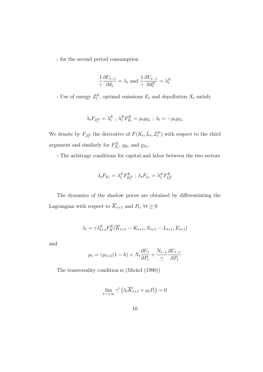- for the second period consumption

$$
\frac{1}{\gamma} \frac{\partial U_{t-1}}{\partial d_t} = \lambda_t \text{ and } \frac{1}{\gamma} \frac{\partial U_{t-1}}{\partial d_t^E} = \lambda_t^E
$$

- Use of energy  $Z_t^E$ , optimal emissions  $E_t$  and depollution  $X_t$  satisfy

$$
\lambda_t F_{Z_t^E} = \lambda_t^E ; \ \lambda_t^E F_{E_t}^E = \mu_t g_{E_t} ; \ \lambda_t = -\mu_t g_{X_t}
$$

We denote by  $F_{Z_t^E}$  the derivative of  $F(K_t, L_t, Z_t^E)$  with respect to the third argument and similarly for  $F_{E_t}^E$ ,  $g_{E_t}$  and  $g_{X_t}$ .

- The arbitrage conditions for capital and labor between the two sectors

$$
\lambda_t F_{K_t} = \lambda_t^E F_{K_t^E}^E \; ; \; \lambda_t F_{L_t} = \lambda_t^E F_{L_t^E}^E
$$

The dynamics of the shadow prices are obtained by differentiating the Lagrangian with respect to  $\overline{K}_{t+1}$  and  $P_t$ ,  $\forall t \geq 0$ 

$$
\lambda_t = \gamma \lambda_{t+1}^E F_K^E(\overline{K}_{t+1} - K_{t+1}, N_{t+1} - L_{t+1}, E_{t+1})
$$

and

$$
\mu_t = \gamma \mu_{t+1} (1-h) + N_t \frac{\partial U_t}{\partial P_t} + \frac{N_{t-1}}{\gamma} \frac{\partial U_{t-1}}{\partial P_t}
$$

The tranversality condition is (Michel (1990))

$$
\lim_{t \to +\infty} \gamma^t \left( \lambda_t \overline{K}_{t+1} + \mu_t P_t \right) = 0
$$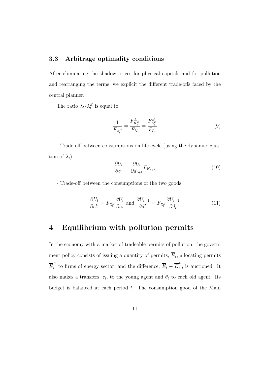#### 3.3 Arbitrage optimality conditions

After eliminating the shadow prices for physical capitals and for pollution and rearranging the terms, we explicit the different trade-offs faced by the central planner.

The ratio  $\lambda_t/\lambda_t^E$  is equal to

$$
\frac{1}{F_{Z_t^E}} = \frac{F_{K_t^E}^E}{F_{K_t}} = \frac{F_{L_t^E}^E}{F_{L_t}}
$$
\n(9)

- Trade-off between consumptions on life cycle (using the dynamic equation of  $\lambda_t$ )

$$
\frac{\partial U_t}{\partial c_t} = \frac{\partial U_t}{\partial d_{t+1}} F_{K_{t+1}} \tag{10}
$$

- Trade-off between the consumptions of the two goods

$$
\frac{\partial U_t}{\partial c_t^E} = F_{Z_t^E} \frac{\partial U_t}{\partial c_t} \text{ and } \frac{\partial U_{t-1}}{\partial d_t^E} = F_{Z_t^E} \frac{\partial U_{t-1}}{\partial d_t} \tag{11}
$$

## 4 Equilibrium with pollution permits

In the economy with a market of tradeable permits of pollution, the government policy consists of issuing a quantity of permits,  $\overline{E}_t$ , allocating permits  $\overline{E}^E_t$  $\frac{E}{t}$  to firms of energy sector, and the difference,  $\overline{E}_t - \overline{E}_t^E$  $t<sub>t</sub>$ , is auctioned. It also makes a transfers,  $\tau_t$ , to the young agent and  $\theta_t$  to each old agent. Its budget is balanced at each period  $t$ . The consumption good of the Main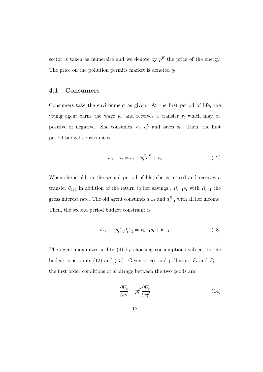sector is taken as numeraire and we denote by  $p<sup>E</sup>$  the price of the energy. The price on the pollution permits market is denoted  $q_t$ .

#### 4.1 Consumers

Consumers take the environment as given. At the first period of life, the young agent earns the wage  $w_t$  and receives a transfer  $\tau_t$  which may be positive or negative. She consumes,  $c_t$ ,  $c_t^E$  and saves  $s_t$ . Then, the first period budget constraint is

$$
w_t + \tau_t = c_t + p_t^E c_t^E + s_t \tag{12}
$$

When she is old, in the second period of life, she is retired and receives a transfer  $\theta_{t+1}$  in addition of the return to her savings ,  $R_{t+1}s_t$  with  $R_{t+1}$  the gross interest rate. The old agent consumes  $d_{t+1}$  and  $d_{t+1}^E$  with all her income. Then, the second period budget constraint is

$$
d_{t+1} + p_{t+1}^{E} d_{t+1}^{E} = R_{t+1} s_t + \theta_{t+1}
$$
\n(13)

The agent maximizes utility (4) by choosing consumptions subject to the budget constraints (12) and (13). Given prices and pollution,  $P_t$  and  $P_{t+1}$ , the first order conditions of arbitrage between the two goods are:

$$
\frac{\partial U_t}{\partial c_t} = p_t^E \frac{\partial U_t}{\partial c_t^E} \tag{14}
$$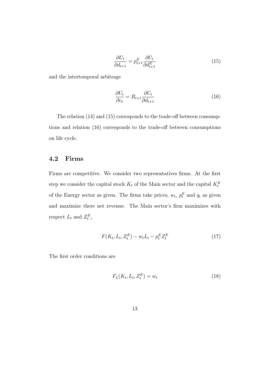$$
\frac{\partial U_t}{\partial d_{t+1}} = p_{t+1}^E \frac{\partial U_t}{\partial d_{t+1}^E} \tag{15}
$$

and the intertemporal arbitrage

$$
\frac{\partial U_t}{\partial c_t} = R_{t+1} \frac{\partial U_t}{\partial d_{t+1}} \tag{16}
$$

The relation (14) and (15) corresponds to the trade-off between consumptions and relation (16) corresponds to the trade-off between consumptions on life cycle.

## 4.2 Firms

Firms are competitive. We consider two representatives firms. At the first step we consider the capital stock  $K_t$  of the Main sector and the capital  $K_t^E$ of the Energy sector as given. The firms take prices,  $w_t$ ,  $p_t^E$  and  $q_t$  as given and maximize there net revenue. The Main sector's firm maximizes with respect  $L_t$  and  $Z_t^E$ ,

$$
F(K_t, L_t, Z_t^E) - w_t L_t - p_t^E Z_t^E \tag{17}
$$

The first order conditions are

$$
F_L(K_t, L_t, Z_t^E) = w_t \tag{18}
$$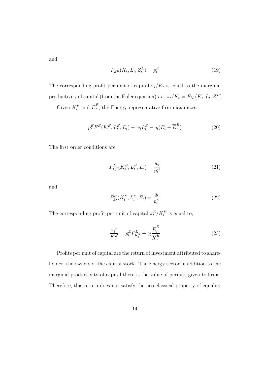and

$$
F_{Z^E}(K_t, L_t, Z_t^E) = p_t^E \tag{19}
$$

The corresponding profit per unit of capital  $\pi_t/K_t$  is equal to the marginal productivity of capital (from the Euler equation) *i.e.*  $\pi_t/K_t = F_{K_t}(K_t, L_t, Z_t^E)$ .

Given  $K_t^E$  and  $\overline{E}_t^E$  $t<sub>t</sub>$ , the Energy representative firm maximizes,

$$
p_t^E F^E(K_t^E, L_t^E, E_t) - w_t L_t^E - q_t(E_t - \overline{E}_t^E)
$$
\n(20)

The first order conditions are

$$
F_{L_t^E}^E(K_t^E, L_t^E, E_t) = \frac{w_t}{p_t^E}
$$
\n(21)

and

$$
F_{E_t}^E(K_t^E, L_t^E, E_t) = \frac{q_t}{p_t^E}
$$
\n(22)

The corresponding profit per unit of capital  $\pi_t^E/K_t^E$  is equal to,

$$
\frac{\pi_t^E}{K_t^E} = p_t^E F_{K_t^E}^E + q_t \frac{\overline{E}_t^E}{\overline{K}_t^E}
$$
\n(23)

Profits per unit of capital are the return of investment attributed to shareholder, the owners of the capital stock. The Energy sector in addition to the marginal productivity of capital there is the value of permits given to firms. Therefore, this return does not satisfy the neo-classical property of equality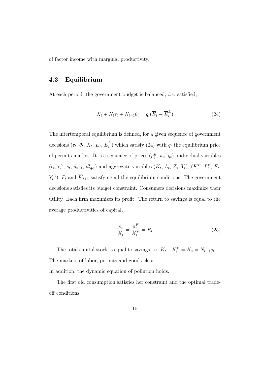of factor income with marginal productivity.

## 4.3 Equilibrium

At each period, the government budget is balanced, *i.e.* satisfied,

$$
X_t + N_t \tau_t + N_{t-1} \theta_t = q_t (\overline{E}_t - \overline{E}_t^E)
$$
\n(24)

The intertemporal equilibrium is defined, for a given sequence of government decisions  $(\tau_t, \theta_t, X_t, \overline{E}_t, \overline{E}_t^E)$  $t<sub>t</sub><sup>L</sup>$ ) which satisfy (24) with  $q_t$  the equilibrium price of permits market. It is a sequence of prices  $(p_t^E, w_t, q_t)$ , individual variables  $(c_t, c_t^E, s_t, d_{t+1}, d_{t+1}^E)$  and aggregate variables  $(K_t, L_t, Z_t, Y_t)$ ,  $(K_t^E, L_t^E, E_t,$  $(Y_t^E)$ ,  $P_t$  and  $\overline{K}_{t+1}$  satisfying all the equilibrium conditions. The government decisions satisfies its budget constraint. Consumers decisions maximize their utility. Each firm maximizes its profit. The return to savings is equal to the average productivities of capital,

$$
\frac{\pi_t}{K_t} = \frac{\pi_t^E}{K_t^E} = R_t
$$
\n(25)

The total capital stock is equal to savings i.e.  $K_t + K_t^E = \overline{K}_t = N_{t-1} s_{t-1}$ . The markets of labor, permits and goods clear.

In addition, the dynamic equation of pollution holds.

The first old consumption satisfies her constraint and the optimal tradeoff conditions,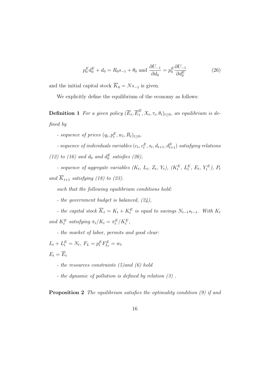$$
p_0^E d_0^E + d_0 = R_0 s_{-1} + \theta_0 \text{ and } \frac{\partial U_{-1}}{\partial d_0} = p_0^E \frac{\partial U_{-1}}{\partial d_0^E}
$$
 (26)

and the initial capital stock  $\overline{K}_0 = Ns_{-1}$  is given.

We explicitly define the equilibrium of the economy as follows:

**Definition 1** For a given policy  $(\overline{E}_t, \overline{E}_t^E)$  $_t^L$ ,  $X_t$ ,  $\tau_t$ ,  $\theta_t$ )<sub>t</sub>  $\geq$ <sub>0</sub>, an equilibrium is defined by

- sequence of prices  $(q_t, p_t^E, w_t, R_t)_{t \geq 0},$ 

- sequence of individuals variables  $(c_t, c_t^E, s_t, d_{t+1}, d_{t+1}^E)$  satisfying relations (12) to (16) and  $d_0$  and  $d_0^E$  satisfies (26),

- sequence of aggregate variables  $(K_t, L_t, Z_t, Y_t)$ ,  $(K_t^E, L_t^E, E_t, Y_t^E)$ ,  $P_t$ and  $\overline{K}_{t+1}$  satisfying (18) to (23).

such that the following equilibrium conditions hold:

- the government budget is balanced,  $(24)$ ,

- the capital stock  $\overline{K}_t = K_t + K_t^E$  is equal to savings  $N_{t-1}s_{t-1}$ . With  $K_t$ and  $K_t^E$  satisfying  $\pi_t/K_t = \pi_t^E/K_t^E$ ,

- the market of labor, permits and good clear:

 $L_t + L_t^E = N_t, F_L = p_t^E F_{L_t}^E = w_t$  $E_t = \overline{E}_t$ 

- the resources constraints (5)and (6) hold
- the dynamic of pollution is defined by relation (3) .

Proposition 2 The equilibrium satisfies the optimality condition (9) if and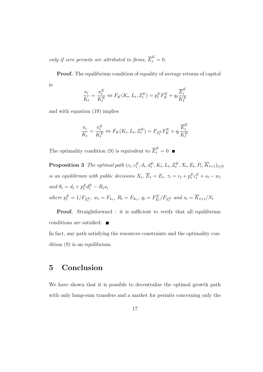only if zero permits are attributed to firms,  $\overline{E}_t^E = 0$ .

Proof. The equilibrium condition of equality of average returns of capital is

$$
\frac{\pi_t}{K_t} = \frac{\pi_t^E}{K_t^E} \Leftrightarrow F_K(K_t, L_t, Z_t^E) = p_t^E F_K^E + q_t \frac{\overline{E}_t^E}{K_t^E}
$$

and with equation (19) implies

$$
\frac{\pi_t}{K_t} = \frac{\pi_t^E}{K_t^E} \Leftrightarrow F_K(K_t, L_t, Z_t^E) = F_{Z_t^E} F_K^E + q_t \frac{\overline{E}_t^E}{K_t^E}
$$

The optimality condition (9) is equivalent to  $\overline{E}_t^E = 0$ 

**Proposition 3** The optimal path  $(c_t, c_t^E, d_t, d_t^E, K_t, L_t, Z_t^E, X_t, E_t, P_t, \overline{K}_{t+1})_{t \geq 0}$ is an equilibrium with public decisions  $X_t$ ,  $\overline{E}_t = E_t$ ,  $\tau_t = c_t + p_t^E c_t^E + s_t - w_t$ and  $\theta_t = d_t + p_t^E d_t^E - R_t s_t$ where  $p_t^E = 1/F_{Z_t^E}$ ,  $w_t = F_{L_t}$ ,  $R_t = F_{K_t}$ ,  $q_t = F_{E_t}^E/F_{Z_t^E}$  and  $s_t = \overline{K}_{t+1}/N_t$ 

Proof. Straightforward : it is sufficient to verify that all equilibrium conditions are satisfied.

In fact, any path satisfying the resources constraints and the optimality condition (9) is an equilibrium.

## 5 Conclusion

We have shown that it is possible to decentralize the optimal growth path with only lump-sum transfers and a market for permits concerning only the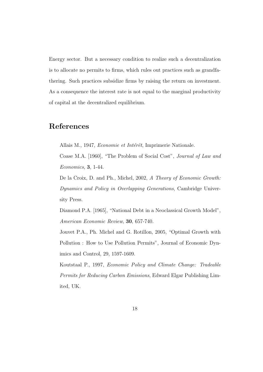Energy sector. But a necessary condition to realize such a decentralization is to allocate no permits to firms, which rules out practices such as grandfathering. Such practices subsidize firms by raising the return on investment. As a consequence the interest rate is not equal to the marginal productivity of capital at the decentralized equilibrium.

## References

Allais M., 1947, Economie et Intérêt, Imprimerie Nationale.

Coase M.A. [1960], "The Problem of Social Cost", Journal of Law and Economics, 3, 1-44.

De la Croix, D. and Ph., Michel, 2002, A Theory of Economic Growth: Dynamics and Policy in Overlapping Generations, Cambridge University Press.

Diamond P.A. [1965], "National Debt in a Neoclassical Growth Model", American Economic Review, 30, 657-740.

Jouvet P.A., Ph. Michel and G. Rotillon, 2005, "Optimal Growth with Pollution : How to Use Pollution Permits", Journal of Economic Dynimics and Control, 29, 1597-1609.

Koutstaal P., 1997, Economic Policy and Climate Change: Tradeable Permits for Reducing Carbon Emissions, Edward Elgar Publishing Limited, UK.